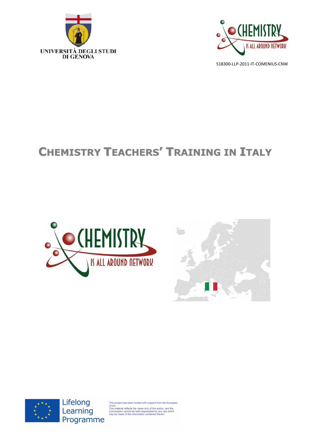



# **CHEMISTRY TEACHERS' TRAINING IN ITALY**







Lifelong Learning Programme

This project has been funded with support from the European<br>Union.<br>This material reflects the views only of the author, and the<br>This material reflects the views only of the author, and the<br>Commission cannot be held respons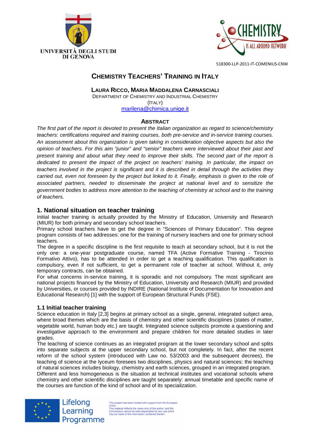



# **CHEMISTRY TEACHERS' TRAINING IN ITALY**

**LAURA RICCO, MARIA MADDALENA CARNASCIALI**

DEPARTMENT OF CHEMISTRY AND INDUSTRIAL CHEMISTRY (ITALY) marilena@chimica.unige.it

# **ABSTRACT**

The first part of the report is devoted to present the Italian organization as regard to science/chemistry teachers: certifications required and training courses, both pre-service and in-service training courses. An assessment about this organization is given taking in consideration objective aspects but also the opinion of teachers. For this aim "junior" and "senior" teachers were interviewed about their past and present training and about what they need to improve their skills. The second part of the report is dedicated to present the impact of the project on teachers' training. In particular, the impact on teachers involved in the project is significant and it is described in detail through the activities they carried out, even not foreseen by the project but linked to it. Finally, emphasis is given to the role of associated partners, needed to disseminate the project at national level and to sensitize the government bodies to address more attention to the teaching of chemistry at school and to the training of teachers.

# **1. National situation on teacher training**

Initial teacher training is actually provided by the Ministry of Education, University and Research (MIUR) for both primary and secondary school teachers.

Primary school teachers have to get the degree in "Sciences of Primary Education". This degree program consists of two addresses: one for the training of nursery teachers and one for primary school teachers.

The degree in a specific discipline is the first requisite to teach at secondary school, but it is not the only one: a one-year postgraduate course, named TFA (Active Formative Training - Tirocinio Formativo Attivo), has to be attended in order to get a teaching qualification. This qualification is compulsory, even if not sufficient, to get a permanent role of teacher at school. Without it, only temporary contracts, can be obtained.

For what concerns in-service training, it is sporadic and not compulsory. The most significant are national projects financed by the Ministry of Education, University and Research (MIUR) and provided by Universities, or courses provided by INDIRE (National Institute of Documentation for Innovation and Educational Research) [1] with the support of European Structural Funds (FSE).

# **1.1 Initial teacher training**

Lifelong

Learning

Science education in Italy [2,3] begins at primary school as a single, general, integrated subject area, where broad themes which are the basis of chemistry and other scientific disciplines (states of matter, vegetable world, human body etc.) are taught. Integrated science subjects promote a questioning and investigative approach to the environment and prepare children for more detailed studies in later grades.

The teaching of science continues as an integrated program at the lower secondary school and splits into separate subjects at the upper secondary school, but not completely. In fact, after the recent reform of the school system (introduced with Law no. 53/2003 and the subsequent decrees), the teaching of science at the lyceum foresees two disciplines, physics and natural sciences: the teaching of natural sciences includes biology, chemistry and earth sciences, grouped in an integrated program.

Different and less homogeneous is the situation at technical institutes and vocational schools where chemistry and other scientific disciplines are taught separately: annual timetable and specific name of the courses are function of the kind of school and of its specialization.



This project has been funded with support from the Europear This project has been funded with support from the Europe<br>Union.<br>This material reflects the views only of the author, and the<br>Commission cannot be held responsible for any use which<br>may be made of the information contained Programme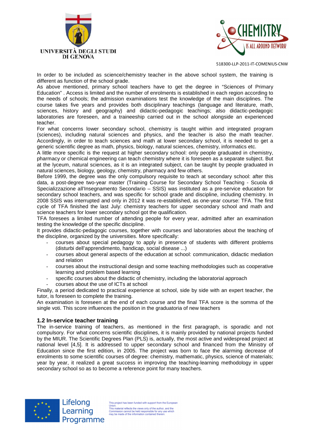



In order to be included as science/chemistry teacher in the above school system, the training is different as function of the school grade.

As above mentioned, primary school teachers have to get the degree in "Sciences of Primary Education" . Access is limited and the number of enrolments is established in each region according to the needs of schools; the admission examinations test the knowledge of the main disciplines. The course takes five years and provides both disciplinary teachings (language and literature, math, sciences, history and geography) and didactic-pedagogic teachings; also didactic-pedagogic laboratories are foreseen, and a traineeship carried out in the school alongside an experienced teacher.

For what concerns lower secondary school, chemistry is taught within and integrated program (sciences), including natural sciences and physics, and the teacher is also the math teacher. Accordingly, in order to teach sciences and math at lower secondary school, it is needed to get a generic scientific degree as math, physics, biology, natural sciences, chemistry, informatics etc.

A little more specific is the request at higher secondary school: only people graduated in chemistry, pharmacy or chemical engineering can teach chemistry where it is foreseen as a separate subject. But at the lyceum, natural sciences, as it is an integrated subject, can be taught by people graduated in natural sciences, biology, geology, chemistry, pharmacy and few others.

Before 1999, the degree was the only compulsory requisite to teach at secondary school: after this data, a post-degree two-year master (Training Course for Secondary School Teaching - Scuola di Specializzazione all'Insegnamento Secondario – SSIS) was instituted as a pre-service education for secondary school teachers, and was specific for school grade and discipline, including chemistry. In 2008 SSIS was interrupted and only in 2012 it was re-established, as one-year course: TFA. The first cycle of TFA finished the last July: chemistry teachers for upper secondary school and math and science teachers for lower secondary school got the qualification.

TFA foresees a limited number of attending people for every year, admitted after an examination testing the knowledge of the specific discipline.

It provides didactic-pedagogic courses, together with courses and laboratories about the teaching of the discipline, organized by the universities. More specifically:

- courses about special pedagogy to apply in presence of students with different problems (disturbi dell'apprendimento, handicap, social disease ...)
- courses about general aspects of the education at school: communication, didactic mediation and relation
- courses about the instructional design and some teaching methodologies such as cooperative learning and problem based learning
- specific courses about the didactic of chemistry, including the laboratorial approach
- courses about the use of ICTs at school

Finally, a period dedicated to practical experience at school, side by side with an expert teacher, the tutor, is foreseen to complete the training.

An examination is foreseen at the end of each course and the final TFA score is the somma of the single voti. This score influences the position in the graduatoria of new teachers

#### **1.2 In-service teacher training**

The in-service training of teachers, as mentioned in the first paragraph, is sporadic and not compulsory. For what concerns scientific disciplines, it is mainly provided by national projects funded by the MIUR. The Scientific Degrees Plan (PLS) is, actually, the most active and widespread project at national level [4,5]. It is addressed to upper secondary school and financed from the Ministry of Education since the first edition, in 2005. The project was born to face the alarming decrease of enrolments to some scientific courses of degree: chemistry, mathematic, physics, science of materials; year by year, it realized a great success in improving the teaching-learning methodology in upper secondary school so as to become a reference point for many teachers.



Lifelong Learning Programme

This project has been funded with support from the European This project has been funded with support from the Europe<br>This material reflects the views only of the author, and the<br>Commission cannot be held responsible for any use which<br>may be made of the information contained therei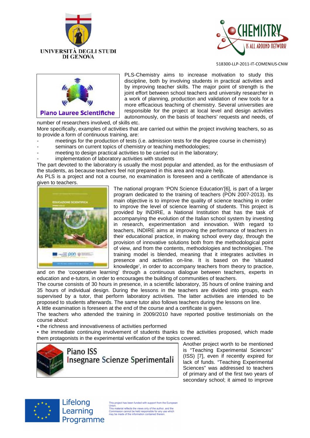





PLS-Chemistry aims to increase motivation to study this discipline, both by involving students in practical activities and by improving teacher skills. The major point of strength is the joint effort between school teachers and university researcher in a work of planning, production and validation of new tools for a more efficacious teaching of chemistry. Several universities are responsible for the project at local level and design activities autonomously, on the basis of teachers' requests and needs, of

number of researchers involved, of skills etc.

More specifically, examples of activities that are carried out within the project involving teachers, so as to provide a form of continuous training, are:

- meetings for the production of tests (i.e. admission tests for the degree course in chemistry)
- seminars on current topics of chemistry or teaching methodologies;
- meeting to design practical activities to be carried out in the laboratory;
- implementation of laboratory activities with students

The part devoted to the laboratory is usually the most popular and attended, as for the enthusiasm of the students, as because teachers feel not prepared in this area and require help.

As PLS is a project and not a course, no examination is foreseen and a certificate of attendance is given to teachers.



The national program 'PON Science Education'[6], is part of a larger program dedicated to the training of teachers (PON 2007-2013). Its main objective is to improve the quality of science teaching in order to improve the level of science learning of students. This project is provided by INDIRE, a National Institution that has the task of accompanying the evolution of the Italian school system by investing in research, experimentation and innovation. With regard to teachers, INDIRE aims at improving the performance of teachers in their educational practice, in making school every day, through the provision of innovative solutions both from the methodological point of view, and from the contents, methodologies and technologies. The training model is blended, meaning that it integrates activities in presence and activities on-line. It is based on the 'situated knowledge', in order to accompany teachers from theory to practice,

and on the 'cooperative learning' through a continuous dialogue between teachers, experts in education and e-tutors, in order to encourages the building of communities of teachers.

The course consists of 30 hours in presence, in a scientific laboratory, 35 hours of online training and 35 hours of individual design. During the lessons in the teachers are divided into groups, each supervised by a tutor, that perform laboratory activities. The latter activities are intended to be proposed to students afterwards. The same tutor also follows teachers during the lessons on line. A little examination is foreseen at the end of the course and a certificate is given.

The teachers who attended the training in 2009/2010 have reported positive testimonials on the course about:

• the richness and innovativeness of activities performed

• the immediate continuing involvement of students thanks to the activities proposed, which made them protagonists in the experimental verification of the topics covered.



Another project worth to be mentioned is "Teaching Experimental Sciences" (ISS) [7], even if recently expired for lack of funds. "Teaching Experimental Sciences" was addressed to teachers of primary and of the first two years of secondary school; it aimed to improve



Lifelong Learning Programme

This project has been funded with support from the Europear This project has been funded with support from the Europe<br>This material reflects the views only of the author, and the<br>Commission cannot be held responsible for any use which<br>may be made of the information contained therei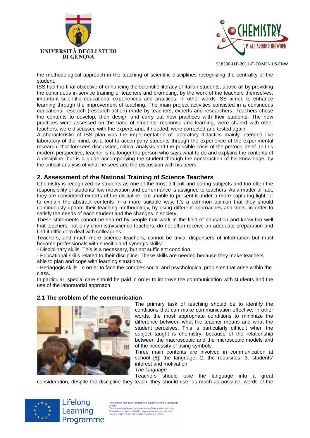



the methodological approach in the teaching of scientific disciplines recognizing the centrality of the student.

ISS had the final objective of enhancing the scientific literacy of Italian students, above all by providing the continuous in-service training of teachers and promoting, by the work of the teachers themselves, important scientific educational experiences and practices. In other words ISS aimed to enhance learning through the improvement of teaching. The main project activities consisted in a continuous educational research (research-action) made by teachers, experts and researchers. Teachers chose the contents to develop, then design and carry out new practices with their students. The new practices were assessed on the base of students' response and learning, were shared with other teachers, were discussed with the experts and, if needed, were corrected and tested again.

A characteristic of ISS plan was the implementation of laboratory didactics mainly intended like laboratory of the mind, as a tool to accompany students through the experience of the experimental research, that foresees discussion, critical analysis and the possible crisis of the protocol itself. In this modern perspective, teacher is no longer the person who says what to do and explains the contents of a discipline, but is a guide accompanying the student through the construction of his knowledge, by the critical analysis of what he sees and the discussion with his peers.

# **2. Assessment of the National Training of Science Teachers**

Chemistry is recognized by students as one of the most difficult and boring subjects and too often the responsibility of students' low motivation and performance is assigned to teachers. As a matter of fact, they are considered experts of the discipline, but unable to present it under a more capturing light, or to explain the abstract contents in a more suitable way. It's a common opinion that they should continuously update their teaching methodology, by using different approaches and tools, in order to satisfy the needs of each student and the changes in society.

These statements cannot be shared by people that work in the field of education and know too well that teachers, not only chemistry/science teachers, do not often receive an adequate preparation and find it difficult to deal with colleagues.

Teachers, and much more science teachers, cannot be trivial dispensers of information but must become professionals with specific and synergic skills:

- Disciplinary skills. This is a necessary, but not sufficient condition.

- Educational skills related to their discipline. These skills are needed because they make teachers able to plan and cope with learning situations.

- Pedagogic skills. In order to face the complex social and psychological problems that arise within the class.

In particular, special care should be paid in order to improve the communication with students and the use of the laboratorial approach.

#### **2.1 The problem of the communication**



The primary task of teaching should be to identify the conditions that can make communication effective; in other words, the most appropriate conditions to minimize the difference between what the teacher means and what the student perceives. This is particularly difficult when the subject taught is chemistry, because of the relationship between the macroscopic and the microscopic models and of the necessity of using symbols.

Three main contents are involved in communication at school [8]: the language, 2. the requisites, 3. students' interest and motivation

The language

Teachers should take the language into a great consideration, despite the discipline they teach: they should use, as much as possible, words of the



Lifelong Learning Programme

This project has been funded with support from the European This material reflects the views only of the author, and the<br>Union.<br>This material reflects the views only of the author, and the<br>Commission cannot be held responsible for any use which Commission cannot be held responsible for any use which<br>may be made of the information contained therein.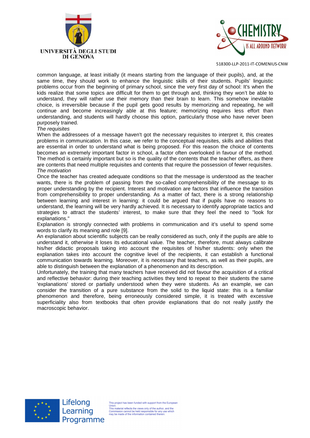



common language, at least initially (it means starting from the language of their pupils), and, at the same time, they should work to enhance the linguistic skills of their students. Pupils' linguistic problems occur from the beginning of primary school, since the very first day of school: It's when the kids realize that some topics are difficult for them to get through and, thinking they won't be able to understand, they will rather use their memory than their brain to learn. This somehow inevitable choice, is irreversible because if the pupil gets good results by memorizing and repeating, he will continue and become increasingly able at this feature; memorizing requires less effort than understanding, and students will hardly choose this option, particularly those who have never been purposely trained.

#### The requisites

When the addressees of a message haven't got the necessary requisites to interpret it, this creates problems in communication. In this case, we refer to the conceptual requisites, skills and abilities that are essential in order to understand what is being proposed. For this reason the choice of contents becomes an extremely important factor in school, a factor often overlooked in favour of the method. The method is certainly important but so is the quality of the contents that the teacher offers, as there are contents that need multiple requisites and contents that require the possession of fewer requisites. The motivation

Once the teacher has created adequate conditions so that the message is understood as the teacher wants, there is the problem of passing from the so-called comprehensibility of the message to its proper understanding by the recipient. Interest and motivation are factors that influence the transition from comprehensibility to proper understanding. As a matter of fact, there is a strong relationship between learning and interest in learning: it could be argued that if pupils have no reasons to understand, the learning will be very hardly achieved. It is necessary to identify appropriate tactics and strategies to attract the students' interest, to make sure that they feel the need to "look for explanations."

Explanation is strongly connected with problems in communication and it's useful to spend some words to clarify its meaning and role [9].

An explanation about scientific subjects can be really considered as such, only if the pupils are able to understand it, otherwise it loses its educational value. The teacher, therefore, must always calibrate his/her didactic proposals taking into account the requisites of his/her students: only when the explanation takes into account the cognitive level of the recipients, it can establish a functional communication towards learning. Moreover, it is necessary that teachers, as well as their pupils, are able to distinguish between the explanation of a phenomenon and its description.

Unfortunately, the training that many teachers have received did not favour the acquisition of a critical and reflective behavior: during their teaching activities they tend to repeat to their students the same 'explanations' stored or partially understood when they were students. As an example, we can consider the transition of a pure substance from the solid to the liquid state: this is a familiar phenomenon and therefore, being erroneously considered simple, it is treated with excessive superficiality also from textbooks that often provide explanations that do not really justify the macroscopic behavior.



This project has been funded with support from the Europear This project has been funded with support from the Europe<br>This material reflects the views only of the author, and the<br>Commission cannot be held responsible for any use which<br>may be made of the information contained therei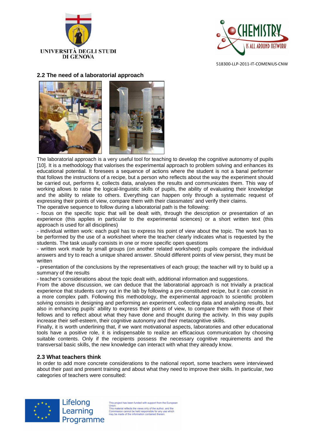



# **2.2 The need of a laboratorial approach**



The laboratorial approach is a very useful tool for teaching to develop the cognitive autonomy of pupils [10]. It is a methodology that valorises the experimental approach to problem solving and enhances its educational potential. It foresees a sequence of actions where the student is not a banal performer that follows the instructions of a recipe, but a person who reflects about the way the experiment should be carried out, performs it, collects data, analyses the results and communicates them. This way of working allows to raise the logical-linguistic skills of pupils, the ability of evaluating their knowledge and the ability to relate to others. Everything can happen only through a systematic request of expressing their points of view, compare them with their classmates' and verify their claims.

The operative sequence to follow during a laboratorial path is the following:

- focus on the specific topic that will be dealt with, through the description or presentation of an experience (this applies in particular to the experimental sciences) or a short written text (this approach is used for all disciplines)

- individual written work: each pupil has to express his point of view about the topic. The work has to be performed by the use of a worksheet where the teacher clearly indicates what is requested by the students. The task usually consists in one or more specific open questions

- written work made by small groups (on another related worksheet): pupils compare the individual answers and try to reach a unique shared answer. Should different points of view persist, they must be written

- presentation of the conclusions by the representatives of each group; the teacher will try to build up a summary of the results

- teacher's considerations about the topic dealt with, additional information and suggestions.

From the above discussion, we can deduce that the laboratorial approach is not trivially a practical experience that students carry out in the lab by following a pre-constituted recipe, but it can consist in a more complex path. Following this methodology, the experimental approach to scientific problem solving consists in designing and performing an experiment, collecting data and analysing results, but also in enhancing pupils' ability to express their points of view, to compare them with those of their fellows and to reflect about what they have done and thought during the activity. In this way pupils increase their self-esteem, their cognitive autonomy and their metacognitive skills.

Finally, it is worth underlining that, if we want motivational aspects, laboratories and other educational tools have a positive role, it is indispensable to realize an efficacious communication by choosing suitable contents. Only if the recipients possess the necessary cognitive requirements and the transversal basic skills, the new knowledge can interact with what they already know.

# **2.3 What teachers think**

In order to add more concrete considerations to the national report, some teachers were interviewed about their past and present training and about what they need to improve their skills. In particular, two categories of teachers were consulted:



Lifelong Learning Programme

This project has been funded with support from the European This project has been funded with support from the Europe<br>Union.<br>This material reflects the views only of the author, and the<br>Commission cannot be held responsible for any use which<br>may be made of the information contained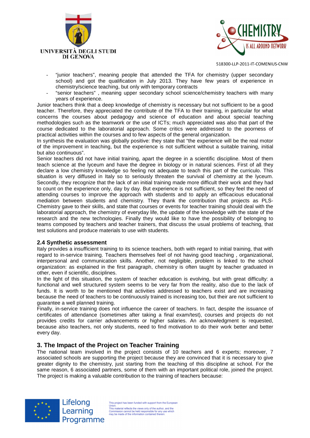



- "junior teachers", meaning people that attended the TFA for chemistry (upper secondary school) and got the qualification in July 2013. They have few years of experience in chemistry/science teaching, but only with temporary contracts
- "senior teachers", meaning upper secondary school science/chemistry teachers with many years of experience.

Junior teachers think that a deep knowledge of chemistry is necessary but not sufficient to be a good teacher. Therefore, they appreciated the contribute of the TFA to their training, in particular for what concerns the courses about pedagogy and science of education and about special teaching methodologies such as the teamwork or the use of ICTs; much appreciated was also that part of the course dedicated to the laboratorial approach. Some critics were addressed to the poorness of practical activities within the courses and to few aspects of the general organization.

In synthesis the evaluation was globally positive: they state that "the experience will be the real motor of the improvement in teaching, but the experience is not sufficient without a suitable training, initial but also continuous".

Senior teachers did not have initial training, apart the degree in a scientific discipline. Most of them teach science at the lyceum and have the degree in biology or in natural sciences. First of all they declare a low chemistry knowledge so feeling not adequate to teach this part of the curriculo. This situation is very diffused in Italy so to seriously threaten the survival of chemistry at the lyceum. Secondly, they recognize that the lack of an initial training made more difficult their work and they had to count on the experience only, day by day. But experience is not sufficient, so they feel the need of attending courses to improve the approach with students and to apply an efficacious educational mediation between students and chemistry. They thank the contribution that projects as PLS-Chemistry gave to their skills, and state that courses or events for teacher training should deal with the laboratorial approach, the chemistry of everyday life, the update of the knowledge with the state of the research and the new technologies. Finally they would like to have the possibility of belonging to teams composed by teachers and teacher trainers, that discuss the usual problems of teaching, that test solutions and produce materials to use with students.

#### **2.4 Synthetic assessment**

Italy provides a insufficient training to its science teachers, both with regard to initial training, that with regard to in-service training. Teachers themselves feel of not having good teaching , organizational, interpersonal and communication skills. Another, not negligible, problem is linked to the school organization: as explained in the first paragraph, chemistry is often taught by teacher graduated in other, even if scientific, disciplines.

In the light of this situation, the system of teacher education is evolving, but with great difficulty: a functional and well structured system seems to be very far from the reality, also due to the lack of funds. It is worth to be mentioned that activities addressed to teachers exist and are increasing because the need of teachers to be continuously trained is increasing too, but their are not sufficient to guarantee a well planned training.

Finally, in-service training does not influence the career of teachers. In fact, despite the issuance of certificates of attendance (sometimes after taking a final exam/test), courses and projects do not provides credits for carrier advancements or higher salaries. An acknowledgment is requested, because also teachers, not only students, need to find motivation to do their work better and better every day.

# **3. The Impact of the Project on Teacher Training**

The national team involved in the project consists of 10 teachers and 6 experts; moreover, 7 associated schools are supporting the project because they are convinced that it is necessary to give greater dignity to the chemistry, just starting from the teaching of this discipline at school. For the same reason, 6 associated partners, some of them with an important political role, joined the project. The project is making a valuable contribution to the training of teachers because:



Lifelong Learning Programme

This project has been funded with support from the Europear This project has been funded with support from the Europe<br>This material reflects the views only of the author, and the<br>Commission cannot be held responsible for any use which<br>may be made of the information contained therei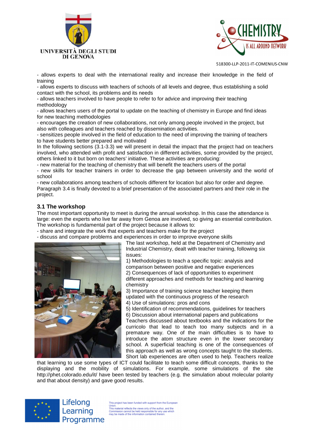



- allows experts to deal with the international reality and increase their knowledge in the field of training

- allows experts to discuss with teachers of schools of all levels and degree, thus establishing a solid contact with the school, its problems and its needs

- allows teachers involved to have people to refer to for advice and improving their teaching methodology

- allows teachers users of the portal to update on the teaching of chemistry in Europe and find ideas for new teaching methodologies

- encourages the creation of new collaborations, not only among people involved in the project, but also with colleagues and teachers reached by dissemination activities.

- sensitizes people involved in the field of education to the need of improving the training of teachers to have students better prepared and motivated

In the following sections (3.1-3.3) we will present in detail the impact that the project had on teachers involved, who attended with profit and satisfaction in different activities, some provided by the project, others linked to it but born on teachers' initiative. These activities are producing:

- new material for the teaching of chemistry that will benefit the teachers users of the portal

- new skills for teacher trainers in order to decrease the gap between university and the world of school

- new collaborations among teachers of schools different for location but also for order and degree. Paragraph 3.4 is finally devoted to a brief presentation of the associated partners and their role in the project.

### **3.1 The workshop**

The most important opportunity to meet is during the annual workshop. In this case the attendance is large: even the experts who live far away from Genoa are involved, so giving an essential contribution. The workshop is fundamental part of the project because it allows to:

- share and integrate the work that experts and teachers make for the project

- discuss and compare problems and experiences in order to improve everyone skills



The last workshop, held at the Department of Chemistry and Industrial Chemistry, dealt with teacher training, following six issues:

1) Methodologies to teach a specific topic: analysis and comparison between positive and negative experiences 2) Consequences of lack of opportunities to experiment different approaches and methods for teaching and learning chemistry

3) Importance of training science teacher keeping them updated with the continuous progress of the research 4) Use of simulations: pros and cons

5) Identification of recommendations, guidelines for teachers 6) Discussion about international papers and publications Teachers discussed about textbooks and the indications for the curricolo that lead to teach too many subjects and in a premature way. One of the main difficulties is to have to introduce the atom structure even in the lower secondary school. A superficial teaching is one of the consequences of this approach as well as wrong concepts taught to the students.

Short lab experiences are often used to help. Teachers realize that learning to use some types of ICT could facilitate to teach some difficult concepts, thanks to the displaying and the mobility of simulations. For example, some simulations of the site http://phet.colorado.edu/it/ have been tested by teachers (e.g. the simulation about molecular polarity and that about density) and gave good results.



Lifelong Learning Programme

This project has been funded with support from the Europear This material reflects the views only of the author, and the<br>Union.<br>This material reflects the views only of the author, and the<br>Commission cannot be held responsible for any use which Commission cannot be held responsible for any use which<br>may be made of the information contained therein.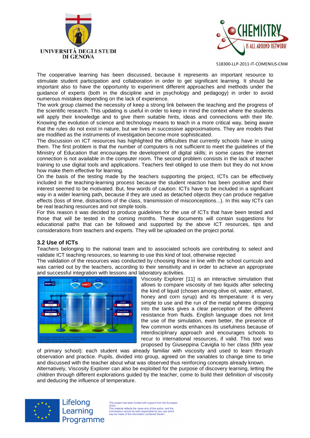



The cooperative learning has been discussed, because it represents an important resource to stimulate student participation and collaboration in order to get significant learning. It should be important also to have the opportunity to experiment different approaches and methods under the guidance of experts (both in the discipline and in psychology and pedagogy) in order to avoid numerous mistakes depending on the lack of experience.

The work group claimed the necessity of keep a strong link between the teaching and the progress of the scientific research. This updating is useful in order to keep in mind the context where the students will apply their knowledge and to give them suitable hints, ideas and connections with their life. Knowing the evolution of science and technology means to teach in a more critical way, being aware that the rules do not exist in nature, but we lives in successive approximations. They are models that are modified as the instruments of investigation become more sophisticated.

The discussion on ICT resources has highlighted the difficulties that currently schools have in using them. The first problem is that the number of computers is not sufficient to meet the guidelines of the Ministry of Education that encourages the development of digital skills; in some cases the internet connection is not available in the computer room. The second problem consists in the lack of teacher training to use digital tools and applications. Teachers feel obliged to use them but they do not know how make them effective for learning.

On the basis of the testing made by the teachers supporting the project, ICTs can be effectively included in the teaching-learning process because the student reaction has been positive and their interest seemed to be motivated. But, few words of caution: ICTs have to be included in a significant way in a wider learning path, because if they are used as detached objects they can produce negative effects (loss of time, distractions of the class, transmission of misconceptions...). In this way ICTs can be real teaching resources and not simple tools.

For this reason it was decided to produce guidelines for the use of ICTs that have been tested and those that will be tested in the coming months. These documents will contain suggestions for educational paths that can be followed and supported by the above ICT resources, tips and considerations from teachers and experts. They will be uploaded on the project portal.

# **3.2 Use of ICTs**

Teachers belonging to the national team and to associated schools are contributing to select and validate ICT teaching resources, so learning to use this kind of tool, otherwise rejected

The validation of the resources was conducted by choosing those in line with the school curriculo and was carried out by the teachers, according to their sensitivity and in order to achieve an appropriate and successful integration with lessons and laboratory activities.



Viscosity Explorer [11] is an interactive simulation that allows to compare viscosity of two liquids after selecting the kind of liquid (chosen among olive oil, water, ethanol, honey and corn syrup) and its temperature: it is very simple to use and the run of the metal spheres dropping into the tanks gives a clear perception of the different resistance from fluids. English language does not limit the use of the simulation, even better, the presence of few common words enhances its usefulness because of interdisciplinary approach and encourages schools to recur to international resources, if valid. This tool was proposed by Giuseppina Caviglia to her class (fifth year

of primary school): each student was already familiar with viscosity and used to learn through observation and practice. Pupils, divided into group, agreed on the variables to change time to time and discussed with the teacher about what was observed thus reinforcing concepts already known.

Alternatively, Viscosity Explorer can also be exploited for the purpose of discovery learning, letting the children through different explorations guided by the teacher, come to build their definition of viscosity and deducing the influence of temperature.



Lifelong Learning Programme

This project has been funded with support from the European This material reflects the views only of the author, and the<br>Union.<br>This material reflects the views only of the author, and the<br>Commission cannot be held responsible for any use which Commission cannot be held responsible for any use which<br>may be made of the information contained therein.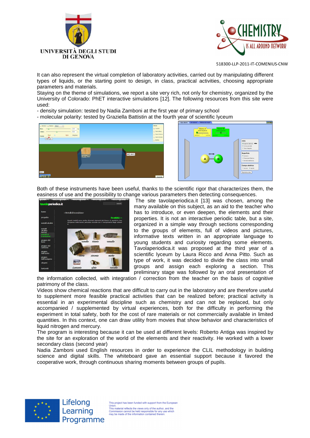



It can also represent the virtual completion of laboratory activities, carried out by manipulating different types of liquids, or the starting point to design, in class, practical activities, choosing appropriate parameters and materials.

Staying on the theme of simulations, we report a site very rich, not only for chemistry, organized by the University of Colorado: PhET interactive simulations [12]. The following resources from this site were used:

- density simulation: tested by Nadia Zamboni at the first year of primary school

- molecular polarity: tested by Graziella Battistin at the fourth year of scientific lyceum





Both of these instruments have been useful, thanks to the scientific rigor that characterizes them, the easiness of use and the possibility to change various parameters then detecting consequences.



 The site tavolaperiodica.it [13] was chosen, among the many available on this subject, as an aid to the teacher who has to introduce, or even deepen, the elements and their properties. It is not an interactive periodic table, but a site, organized in a simple way through sections corresponding to the groups of elements, full of videos and pictures, informative texts written in an appropriate language to young students and curiosity regarding some elements. Tavolaperiodica.it was proposed at the third year of a scientific lyceum by Laura Ricco and Anna Pitto. Such as type of work, it was decided to divide the class into small groups and assign each exploring a section. This preliminary stage was followed by an oral presentation of

the information collected, with integration / correction from the teacher on the basis of cognitive patrimony of the class.

Videos show chemical reactions that are difficult to carry out in the laboratory and are therefore useful to supplement more feasible practical activities that can be realized before; practical activity is essential in an experimental discipline such as chemistry and can not be replaced, but only accompanied / supplemented by virtual experiences, both for the difficulty in performing the experiment in total safety, both for the cost of rare materials or not commercially available in limited quantities. In this context, one can draw utility from movies that show behavior and characteristics of liquid nitrogen and mercury.

The program is interesting because it can be used at different levels: Roberto Antiga was inspired by the site for an exploration of the world of the elements and their reactivity. He worked with a lower secondary class (second year)

Nadia Zamboni used English resources in order to experience the CLIL methodology in building science and digital skills. The whiteboard gave an essential support because it favored the cooperative work, through continuous sharing moments between groups of pupils.



Lifelong Learning Programme

This project has been funded with support from the Europear This material reflects the views only of the author, and the<br>This material reflects the views only of the author, and the Commission cannot be held responsible for any use which<br>may be made of the information contained therein.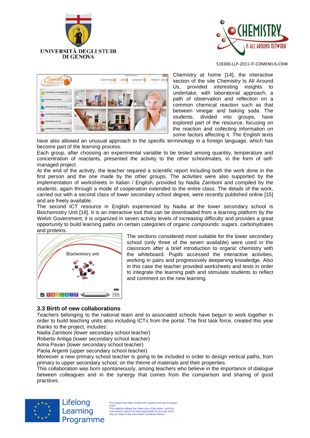





Chemistry at home [14], the interactive section of the site Chemistry Is All Around Us, provided interesting insights to undertake, with laboratorial approach, a path of observation and reflection on a common chemical reaction such as that between vinegar and baking soda. The students, divided into groups, have explored part of the resource, focusing on the reaction and collecting information on some factors affecting it. The English texts

have also allowed an unusual approach to the specific terminology in a foreign language. which has become part of the learning process.

Each group, after choosing an experimental variable to be tested among quantity, temperature and concentration of reactants, presented the activity to the other schoolmates, in the form of selfmanaged project.

At the end of the activity, the teacher required a scientific report including both the work done in the first person and the one made by the other groups. The activities were also supported by the implementation of worksheets in Italian / English, provided by Nadia Zamboni and compiled by the students, again through a mode of cooperation extended to the entire class. The details of the work, carried out with a second class of lower secondary school degree, were recently published online [15] and are freely available.

The second ICT resource in English experienced by Nadia at the lower secondary school is Biochemistry Unit [16]. It is an interactive tool that can be downloaded from a learning platform by the Welsh Government; it is organized in seven activity levels of increasing difficulty and provides a great opportunity to build learning paths on certain categories of organic compounds: sugars, carbohydrates and proteins.



The sections considered most suitable for the lower secondary school (only three of the seven available) were used in the classroom after a brief introduction to organic chemistry with the whiteboard. Pupils accessed the interactive activities, working in pairs and progressively deepening knowledge. Also in this case the teacher provided worksheets and tests in order to integrate the learning path and stimulate students to reflect and comment on the new learning.

#### **3.3 Birth of new collaborations**

Teachers belonging to the national team and to associated schools have begun to work together in order to build teaching units also including ICTs from the portal. The first task force, created this year thanks to the project, includes:

Nadia Zamboni (lower secondary school teacher)

Roberto Antiga (lower secondary school teacher)

Anna Pavan (lower secondary school teacher)

Paola Argenti (upper secondary school teacher)

Moreover a new primary school teacher is going to be included in order to design vertical paths, from primary to upper secondary school, on the theme of materials and their properties.

This collaboration was born spontaneously, among teachers who believe in the importance of dialogue between colleagues and in the synergy that comes from the comparison and sharing of good practices.



Lifelong Learning Programme

This project has been funded with support from the European This project has been funded with support from the Europe<br>This material reflects the views only of the author, and the<br>Commission cannot be held responsible for any use which<br>may be made of the information contained therei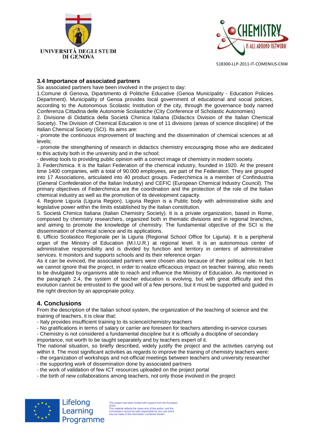



### **3.4 Importance of associated partners**

Six associated partners have been involved in the project to day:

1.Comune di Genova, Dipartimento di Politiche Educative (Genoa Municipality - Education Policies Department). Municipality of Genoa provides local government of educational and social policies, according to the Autonomous Scolastic Institution of the city, through the governance body named Conferenza Cittadina delle Autonomie Scolastiche (City Conference of Scholastic Autonomies)

2. Divisione di Didattica della Società Chimica Italiana (Didactics Division of the Italian Chemical Society). The Division of Chemical Education is one of 11 divisions (areas of science discipline) of the Italian Chemical Society (SCI). Its aims are:

- promote the continuous improvement of teaching and the dissemination of chemical sciences at all levels;

- promote the strengthening of research in didactics chemistry encouraging those who are dedicated to this activity both in the university and in the school;

- develop tools to providing public opinion with a correct image of chemistry in modern society.

3. Federchimica. It is the ltalian Federation of the chemical industry, founded in 1920. At the present time 1400 companies, with a total of 90.000 employees, are part of the Federation. They are grouped into 17 Associations, articulated into 40 product groups. Federchimica is a member of Confindustria (General Confederation of the ltalian lndustry) and CEFIC (European Chemical lndustry Council). The primary objectives of Federchimica are the coordination and the protection of the role of the ltalian chemical industry as well as the promotion of its development capacity.

4. Regione Liguria (Liguria Region). Liguria Region is a Public body with administrative skills and legislative power within the limits established by the Italian constitution.

5. Società Chimica Italiana (Italian Chemistry Society). It is a private organization, based in Rome, composed by chemistry researchers, organized both in thematic divisions and in regional branches, and aiming to promote the knowledge of chemistry. The fundamental objective of the SCI is the dissemination of chemical science and its applications.

6. Ufficio Scolastico Regionale per la Liguria (Regional School Office for Liguria). It is a peripheral organ of the Ministry of Education (M.I.U.R.) at regional level. It is an autonomous center of administrative responsibility and is divided by function and territory in centers of administrative services. It monitors and supports schools and its their reference organ

As it can be evinced, the associated partners were chosen also because of their political role. In fact we cannot ignore that the project, in order to realize efficacious impact on teacher training, also needs to be divulgated by organisms able to reach and influence the Ministry of Education. As mentioned in the paragraph 2.4, the system of teacher education is evolving, but with great difficulty and this evolution cannot be entrusted to the good will of a few persons, but it must be supported and guided in the right direction by an appropriate policy.

# **4. Conclusions**

From the description of the Italian school system, the organization of the teaching of science and the training of teachers, it is clear that:

- Italy provides insufficient training to its science/chemistry teachers
- No gratifications in terms of salary or carrier are foreseen for teachers attending in-service courses

- Chemistry is not considered a fundamental discipline but it is officially a discipline of secondary importance, not worth to be taught separately and by teachers expert of it.

The national situation, so briefly described, widely justify the project and the activities carrying out within it. The most significant activities as regards to improve the training of chemistry teachers were:

- the organization of workshops and not-official meetings between teachers and university researcher - the supporting work of dissemination done by associated partners

- the work of validation of few ICT resources uploaded on the project portal
- the birth of new collaborations among teachers, not only those involved in the project



Lifelong Learning Programme

This project has been funded with support from the Europe This project has been funded with support from the Europe<br>This material reflects the views only of the author, and the<br>Commission cannot be held responsible for any use which<br>may be made of the information contained therei